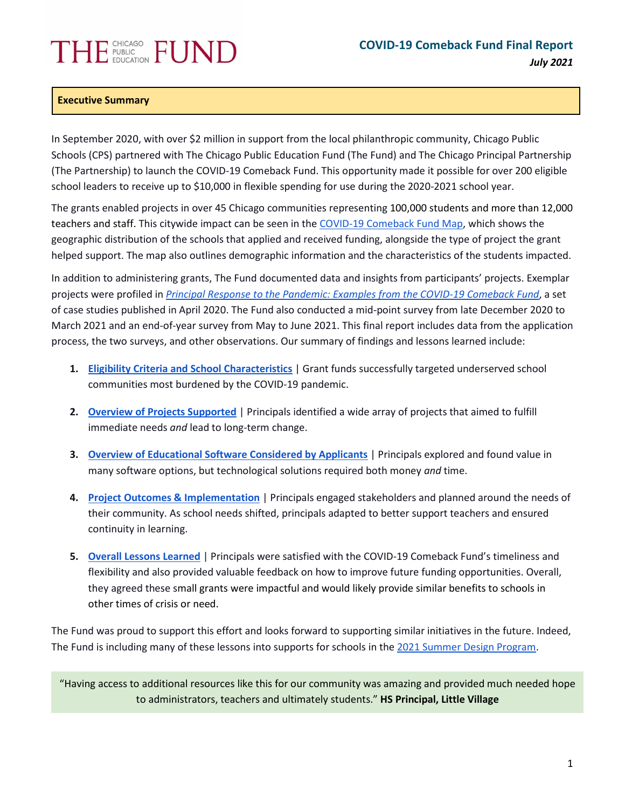# **THE FUSLIC FUND**

## **Executive Summary**

In September 2020, with over \$2 million in support from the local philanthropic community, Chicago Public Schools (CPS) partnered with The Chicago Public Education Fund (The Fund) and The Chicago Principal Partnership (The Partnership) to launch the COVID-19 Comeback Fund. This opportunity made it possible for over 200 eligible school leaders to receive up to \$10,000 in flexible spending for use during the 2020-2021 school year.

The grants enabled projects in over 45 Chicago communities representing 100,000 students and more than 12,000 teachers and staff. This citywide impact can be seen in the [COVID-19 Comeback Fund Map,](https://public.tableau.com/app/profile/adriana4281/viz/COVID-19ComebackFundSchools_16250722163270/Covid-19ComebackFundSchools) which shows the geographic distribution of the schools that applied and received funding, alongside the type of project the grant helped support. The map also outlines demographic information and the characteristics of the students impacted.

In addition to administering grants, The Fund documented data and insights from participants' projects. Exemplar projects were profiled in *[Principal Response to the Pandemic: Examples from the COVID-19 Comeback Fund](https://thefundchicago.org/report/2020-21-covid-19-comeback-fund-case-studies/)*, a set of case studies published in April 2020. The Fund also conducted a mid-point survey from late December 2020 to March 2021 and an end-of-year survey from May to June 2021. This final report includes data from the application process, the two surveys, and other observations. Our summary of findings and lessons learned include:

- **1. [Eligibility Criteria and School Characteristics](#page-1-0)** | Grant funds successfully targeted underserved school communities most burdened by the COVID-19 pandemic.
- **2. [Overview of Projects Supported](#page-2-0)** | Principals identified a wide array of projects that aimed to fulfill immediate needs *and* lead to long-term change.
- **3. [Overview of Educational Software Considered by Applicants](#page-4-0)** | Principals explored and found value in many software options, but technological solutions required both money *and* time.
- **4. [Project Outcomes & Implementation](#page-6-0)** | Principals engaged stakeholders and planned around the needs of their community. As school needs shifted, principals adapted to better support teachers and ensured continuity in learning.
- **5. [Overall Lessons Learned](#page-9-0)** | Principals were satisfied with the COVID-19 Comeback Fund's timeliness and flexibility and also provided valuable feedback on how to improve future funding opportunities. Overall, they agreed these small grants were impactful and would likely provide similar benefits to schools in other times of crisis or need.

The Fund was proud to support this effort and looks forward to supporting similar initiatives in the future. Indeed, The Fund is including many of these lessons into supports for schools in the [2021 Summer Design Program.](https://sdp2021.weebly.com/)

"Having access to additional resources like this for our community was amazing and provided much needed hope to administrators, teachers and ultimately students." **HS Principal, Little Village**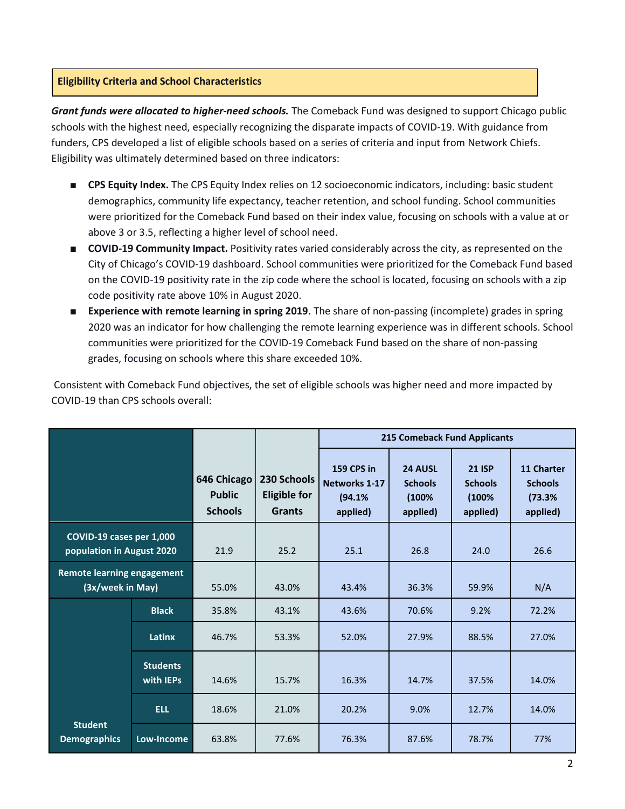## <span id="page-1-0"></span>**Eligibility Criteria and School Characteristics**

*Grant funds were allocated to higher-need schools.* The Comeback Fund was designed to support Chicago public schools with the highest need, especially recognizing the disparate impacts of COVID-19. With guidance from funders, CPS developed a list of eligible schools based on a series of criteria and input from Network Chiefs. Eligibility was ultimately determined based on three indicators:

- **CPS Equity Index.** The CPS Equity Index relies on 12 socioeconomic indicators, including: basic student demographics, community life expectancy, teacher retention, and school funding. School communities were prioritized for the Comeback Fund based on their index value, focusing on schools with a value at or above 3 or 3.5, reflecting a higher level of school need.
- **COVID-19 Community Impact.** Positivity rates varied considerably across the city, as represented on the City of Chicago's COVID-19 dashboard. School communities were prioritized for the Comeback Fund based on the COVID-19 positivity rate in the zip code where the school is located, focusing on schools with a zip code positivity rate above 10% in August 2020.
- **Experience with remote learning in spring 2019.** The share of non-passing (incomplete) grades in spring 2020 was an indicator for how challenging the remote learning experience was in different schools. School communities were prioritized for the COVID-19 Comeback Fund based on the share of non-passing grades, focusing on schools where this share exceeded 10%.

Consistent with Comeback Fund objectives, the set of eligible schools was higher need and more impacted by COVID-19 than CPS schools overall:

|                                                       |                              |                                                |                                                     | <b>215 Comeback Fund Applicants</b>                      |                                                |                                                      |                                                    |
|-------------------------------------------------------|------------------------------|------------------------------------------------|-----------------------------------------------------|----------------------------------------------------------|------------------------------------------------|------------------------------------------------------|----------------------------------------------------|
|                                                       |                              | 646 Chicago<br><b>Public</b><br><b>Schools</b> | 230 Schools<br><b>Eligible for</b><br><b>Grants</b> | <b>159 CPS in</b><br>Networks 1-17<br>(94.1%<br>applied) | 24 AUSL<br><b>Schools</b><br>(100%<br>applied) | <b>21 ISP</b><br><b>Schools</b><br>(100%<br>applied) | 11 Charter<br><b>Schools</b><br>(73.3%<br>applied) |
| COVID-19 cases per 1,000<br>population in August 2020 |                              | 21.9                                           | 25.2                                                | 25.1                                                     | 26.8                                           | 24.0                                                 | 26.6                                               |
| Remote learning engagement<br>(3x/week in May)        |                              | 55.0%                                          | 43.0%                                               | 43.4%                                                    | 36.3%                                          | 59.9%                                                | N/A                                                |
|                                                       | <b>Black</b>                 | 35.8%                                          | 43.1%                                               | 43.6%                                                    | 70.6%                                          | 9.2%                                                 | 72.2%                                              |
|                                                       | Latinx                       | 46.7%                                          | 53.3%                                               | 52.0%                                                    | 27.9%                                          | 88.5%                                                | 27.0%                                              |
|                                                       | <b>Students</b><br>with IEPs | 14.6%                                          | 15.7%                                               | 16.3%                                                    | 14.7%                                          | 37.5%                                                | 14.0%                                              |
|                                                       | <b>ELL</b>                   | 18.6%                                          | 21.0%                                               | 20.2%                                                    | 9.0%                                           | 12.7%                                                | 14.0%                                              |
| <b>Student</b><br><b>Demographics</b>                 | Low-Income                   | 63.8%                                          | 77.6%                                               | 76.3%                                                    | 87.6%                                          | 78.7%                                                | 77%                                                |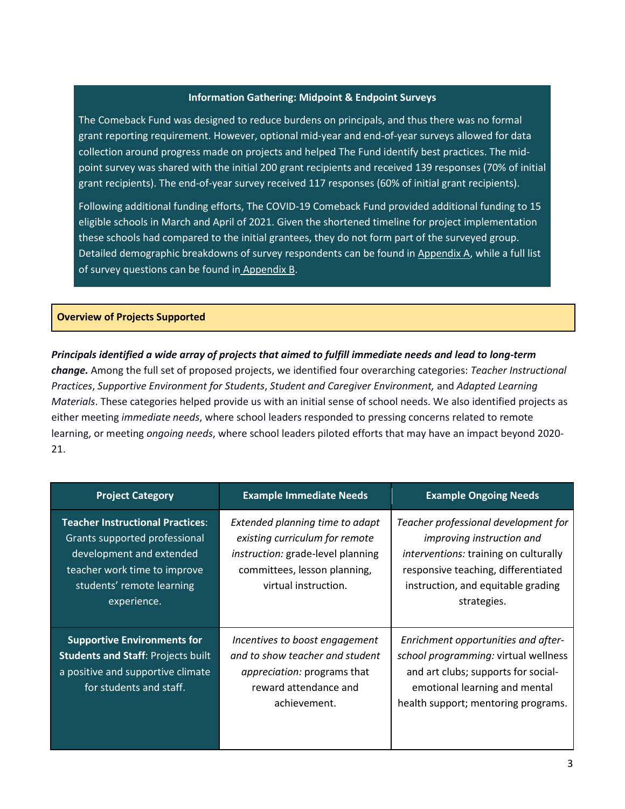#### **Information Gathering: Midpoint & Endpoint Surveys**

The Comeback Fund was designed to reduce burdens on principals, and thus there was no formal grant reporting requirement. However, optional mid-year and end-of-year surveys allowed for data collection around progress made on projects and helped The Fund identify best practices. The midpoint survey was shared with the initial 200 grant recipients and received 139 responses (70% of initial grant recipients). The end-of-year survey received 117 responses (60% of initial grant recipients).

Following additional funding efforts, The COVID-19 Comeback Fund provided additional funding to 15 eligible schools in March and April of 2021. Given the shortened timeline for project implementation these schools had compared to the initial grantees, they do not form part of the surveyed group. Detailed demographic breakdowns of survey respondents can be found i[n Appendix A,](#page-11-0) while a full list of survey questions can be found in [Appendix B.](#page-12-0)

#### <span id="page-2-0"></span>**Overview of Projects Supported**

*Principals identified a wide array of projects that aimed to fulfill immediate needs and lead to long-term change.* Among the full set of proposed projects, we identified four overarching categories: *Teacher Instructional Practices*, *Supportive Environment for Students*, *Student and Caregiver Environment,* and *Adapted Learning Materials*. These categories helped provide us with an initial sense of school needs. We also identified projects as either meeting *immediate needs*, where school leaders responded to pressing concerns related to remote learning, or meeting *ongoing needs*, where school leaders piloted efforts that may have an impact beyond 2020- 21.

| <b>Project Category</b>                                                                                                                                                          | <b>Example Immediate Needs</b>                                                                                                                                 | <b>Example Ongoing Needs</b>                                                                                                                                                                                         |
|----------------------------------------------------------------------------------------------------------------------------------------------------------------------------------|----------------------------------------------------------------------------------------------------------------------------------------------------------------|----------------------------------------------------------------------------------------------------------------------------------------------------------------------------------------------------------------------|
| <b>Teacher Instructional Practices:</b><br>Grants supported professional<br>development and extended<br>teacher work time to improve<br>students' remote learning<br>experience. | Extended planning time to adapt<br>existing curriculum for remote<br>instruction: grade-level planning<br>committees, lesson planning,<br>virtual instruction. | Teacher professional development for<br><i>improving instruction and</i><br><i>interventions:</i> training on culturally<br>responsive teaching, differentiated<br>instruction, and equitable grading<br>strategies. |
| <b>Supportive Environments for</b><br><b>Students and Staff: Projects built</b><br>a positive and supportive climate<br>for students and staff.                                  | Incentives to boost engagement<br>and to show teacher and student<br>appreciation: programs that<br>reward attendance and<br>achievement.                      | Enrichment opportunities and after-<br>school programming: virtual wellness<br>and art clubs; supports for social-<br>emotional learning and mental<br>health support; mentoring programs.                           |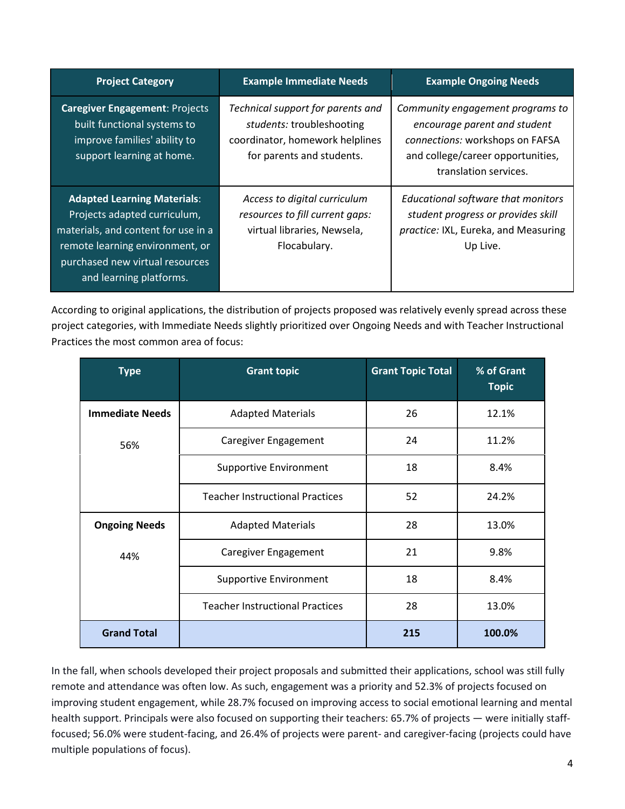| <b>Project Category</b>                                                                                                                                                                                    | <b>Example Immediate Needs</b>                                                                                                 | <b>Example Ongoing Needs</b>                                                                                                                                      |
|------------------------------------------------------------------------------------------------------------------------------------------------------------------------------------------------------------|--------------------------------------------------------------------------------------------------------------------------------|-------------------------------------------------------------------------------------------------------------------------------------------------------------------|
| <b>Caregiver Engagement: Projects</b><br>built functional systems to<br>improve families' ability to<br>support learning at home.                                                                          | Technical support for parents and<br>students: troubleshooting<br>coordinator, homework helplines<br>for parents and students. | Community engagement programs to<br>encourage parent and student<br>connections: workshops on FAFSA<br>and college/career opportunities,<br>translation services. |
| <b>Adapted Learning Materials:</b><br>Projects adapted curriculum,<br>materials, and content for use in a<br>remote learning environment, or<br>purchased new virtual resources<br>and learning platforms. | Access to digital curriculum<br>resources to fill current gaps:<br>virtual libraries, Newsela,<br>Flocabulary.                 | Educational software that monitors<br>student progress or provides skill<br>practice: IXL, Eureka, and Measuring<br>Up Live.                                      |

According to original applications, the distribution of projects proposed was relatively evenly spread across these project categories, with Immediate Needs slightly prioritized over Ongoing Needs and with Teacher Instructional Practices the most common area of focus:

| <b>Type</b>            | <b>Grant topic</b>                     | <b>Grant Topic Total</b> | % of Grant<br><b>Topic</b> |
|------------------------|----------------------------------------|--------------------------|----------------------------|
| <b>Immediate Needs</b> | <b>Adapted Materials</b>               | 26                       | 12.1%                      |
| 56%                    | Caregiver Engagement                   | 24                       | 11.2%                      |
|                        | <b>Supportive Environment</b>          | 18                       | 8.4%                       |
|                        | <b>Teacher Instructional Practices</b> | 52                       | 24.2%                      |
| <b>Ongoing Needs</b>   | <b>Adapted Materials</b>               | 28                       | 13.0%                      |
| 44%                    | Caregiver Engagement                   | 21                       | 9.8%                       |
|                        | <b>Supportive Environment</b>          | 18                       | 8.4%                       |
|                        | <b>Teacher Instructional Practices</b> | 28                       | 13.0%                      |
| <b>Grand Total</b>     |                                        | 215                      | 100.0%                     |

In the fall, when schools developed their project proposals and submitted their applications, school was still fully remote and attendance was often low. As such, engagement was a priority and 52.3% of projects focused on improving student engagement, while 28.7% focused on improving access to social emotional learning and mental health support. Principals were also focused on supporting their teachers: 65.7% of projects — were initially stafffocused; 56.0% were student-facing, and 26.4% of projects were parent- and caregiver-facing (projects could have multiple populations of focus).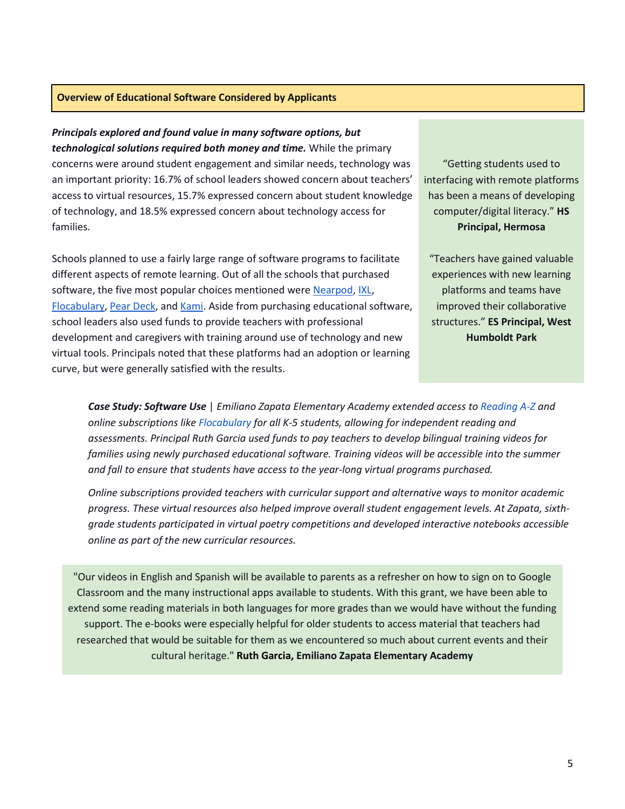## <span id="page-4-0"></span>**Overview of Educational Software Considered by Applicants**

#### *Principals explored and found value in many software options, but*

*technological solutions required both money and time.* While the primary concerns were around student engagement and similar needs, technology was an important priority: 16.7% of school leaders showed concern about teachers' access to virtual resources, 15.7% expressed concern about student knowledge of technology, and 18.5% expressed concern about technology access for families.

Schools planned to use a fairly large range of software programs to facilitate different aspects of remote learning. Out of all the schools that purchased softwar[e](https://nearpod.com/), the five most popular choices mentioned were [Nearpod](https://nearpod.com/)[,](https://www.flocabulary.com/) [IXL](https://www.ixl.com/?partner=google&campaign=71588968&adGroup=11909187928&gclid=CjwKCAjww-CGBhALEiwAQzWxOoVDkugAZ7acZkj_PX61lbKn00cjy4WLU9NuLsVH3vHrnYaWhpwLThoC3AAQAvD_BwE), [Flocabulary,](https://www.flocabulary.com/) [Pear Deck,](https://www.peardeck.com/googleslides) and [Kami.](https://www.kamiapp.com/) Aside from purchasing educational software, school leaders also used funds to provide teachers with professional development and caregivers with training around use of technology and new virtual tools. Principals noted that these platforms had an adoption or learning curve, but were generally satisfied with the results.

"Getting students used to interfacing with remote platforms has been a means of developing computer/digital literacy." **HS Principal, Hermosa**

"Teachers have gained valuable experiences with new learning platforms and teams have improved their collaborative structures." **ES Principal, West Humboldt Park**

*Case Study: Software Use* | *Emiliano Zapata Elementary Academy extended access to [Reading A-Z](https://www.learninga-z.com/site/products/readinga-z/overview?utm_source=google&utm_medium=cpc&campaign_id=68756724&utm_term=az%20reading&utm_ad_id=526561952293&gclid=CjwKCAjww-CGBhALEiwAQzWxOn0CnvHTL6fXA-2ujOBPIYAkw4u0X-fKiif_9VuyFCiMY1zvNEvEIBoCWP4QAvD_BwE) and online subscriptions lik[e Flocabulary](https://www.flocabulary.com/) for all K-5 students, allowing for independent reading and assessments. Principal Ruth Garcia used funds to pay teachers to develop bilingual training videos for families using newly purchased educational software. Training videos will be accessible into the summer and fall to ensure that students have access to the year-long virtual programs purchased.* 

*Online subscriptions provided teachers with curricular support and alternative ways to monitor academic progress. These virtual resources also helped improve overall student engagement levels. At Zapata, sixthgrade students participated in virtual poetry competitions and developed interactive notebooks accessible online as part of the new curricular resources.* 

"Our videos in English and Spanish will be available to parents as a refresher on how to sign on to Google Classroom and the many instructional apps available to students. With this grant, we have been able to extend some reading materials in both languages for more grades than we would have without the funding support. The e-books were especially helpful for older students to access material that teachers had researched that would be suitable for them as we encountered so much about current events and their cultural heritage." **Ruth Garcia, Emiliano Zapata Elementary Academy**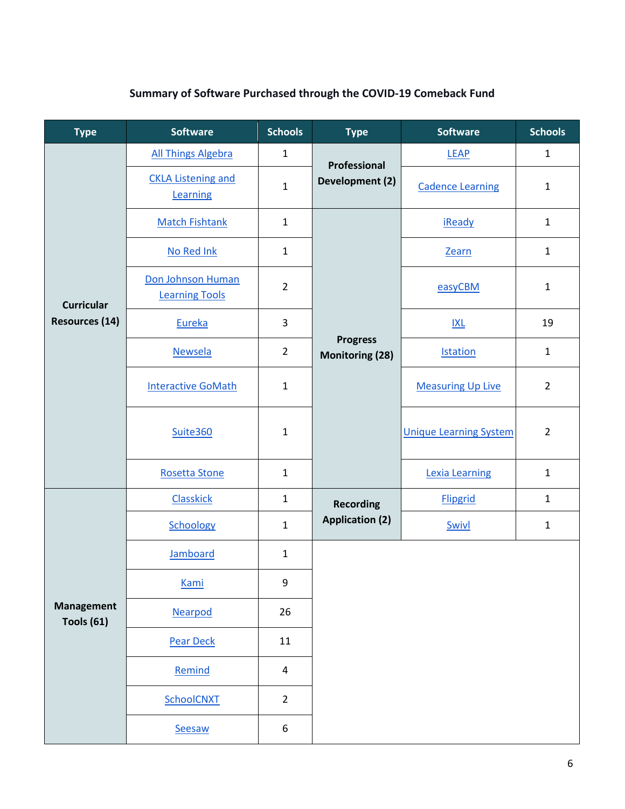# **Summary of Software Purchased through the COVID-19 Comeback Fund**

| <b>Type</b>                     | <b>Software</b>                            | <b>Schools</b>   | <b>Type</b>                               | <b>Software</b>               | <b>Schools</b> |
|---------------------------------|--------------------------------------------|------------------|-------------------------------------------|-------------------------------|----------------|
|                                 | <b>All Things Algebra</b>                  | $\mathbf{1}$     | Professional                              | <b>LEAP</b>                   | $\mathbf{1}$   |
|                                 | <b>CKLA Listening and</b><br>Learning      | $\mathbf{1}$     | Development (2)                           | <b>Cadence Learning</b>       | $\mathbf{1}$   |
|                                 | <b>Match Fishtank</b>                      | $\mathbf{1}$     |                                           | <b>iReady</b>                 | $\mathbf{1}$   |
|                                 | No Red Ink                                 | $\mathbf{1}$     |                                           | Zearn                         | $\mathbf{1}$   |
| <b>Curricular</b>               | Don Johnson Human<br><b>Learning Tools</b> | $\overline{2}$   |                                           | easyCBM                       | $\mathbf{1}$   |
| <b>Resources (14)</b>           | Eureka                                     | 3                |                                           | IXL                           | 19             |
|                                 | <b>Newsela</b>                             | $\overline{2}$   | <b>Progress</b><br><b>Monitoring (28)</b> | <b>Istation</b>               | $\mathbf{1}$   |
|                                 | <b>Interactive GoMath</b>                  | $\mathbf{1}$     |                                           | <b>Measuring Up Live</b>      | $\overline{2}$ |
|                                 | Suite360                                   | $\mathbf{1}$     |                                           | <b>Unique Learning System</b> | $\overline{2}$ |
|                                 | <b>Rosetta Stone</b>                       | $\mathbf{1}$     |                                           | <b>Lexia Learning</b>         | $\mathbf{1}$   |
|                                 | <b>Classkick</b>                           | $\mathbf{1}$     | <b>Recording</b>                          | <b>Flipgrid</b>               | $\mathbf{1}$   |
|                                 | Schoology                                  | $\mathbf{1}$     | <b>Application (2)</b>                    | Swivl                         | 1              |
|                                 | <b>Jamboard</b>                            | $\mathbf{1}$     |                                           |                               |                |
|                                 | <b>Kami</b>                                | $\boldsymbol{9}$ |                                           |                               |                |
| <b>Management</b><br>Tools (61) | Nearpod                                    | 26               |                                           |                               |                |
|                                 | <b>Pear Deck</b>                           | 11               |                                           |                               |                |
|                                 | Remind                                     | $\overline{4}$   |                                           |                               |                |
|                                 | SchoolCNXT                                 | $\overline{2}$   |                                           |                               |                |
|                                 | Seesaw                                     | 6                |                                           |                               |                |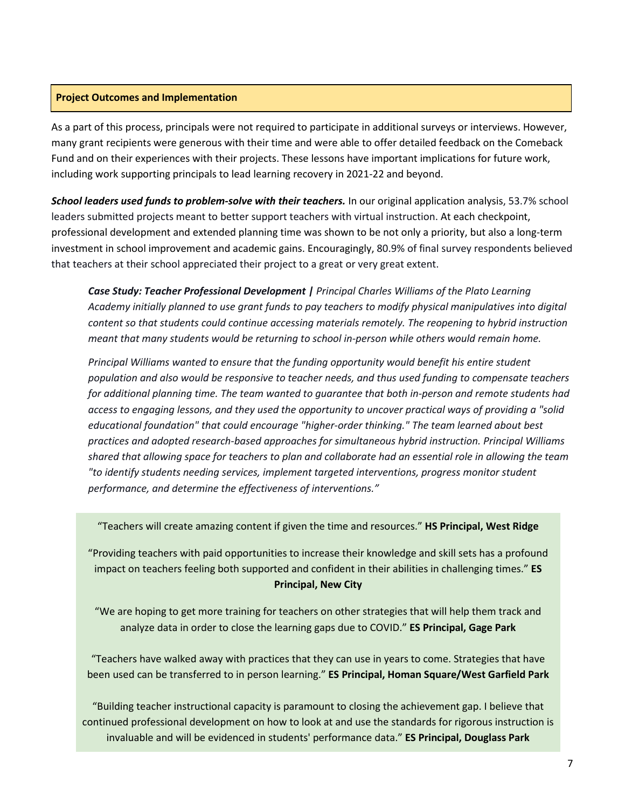#### <span id="page-6-0"></span>**Project Outcomes and Implementation**

As a part of this process, principals were not required to participate in additional surveys or interviews. However, many grant recipients were generous with their time and were able to offer detailed feedback on the Comeback Fund and on their experiences with their projects. These lessons have important implications for future work, including work supporting principals to lead learning recovery in 2021-22 and beyond.

*School leaders used funds to problem-solve with their teachers.* In our original application analysis, 53.7% school leaders submitted projects meant to better support teachers with virtual instruction. At each checkpoint, professional development and extended planning time was shown to be not only a priority, but also a long-term investment in school improvement and academic gains. Encouragingly, 80.9% of final survey respondents believed that teachers at their school appreciated their project to a great or very great extent.

*Case Study: Teacher Professional Development | Principal Charles Williams of the Plato Learning Academy initially planned to use grant funds to pay teachers to modify physical manipulatives into digital content so that students could continue accessing materials remotely. The reopening to hybrid instruction meant that many students would be returning to school in-person while others would remain home.* 

*Principal Williams wanted to ensure that the funding opportunity would benefit his entire student population and also would be responsive to teacher needs, and thus used funding to compensate teachers for additional planning time. The team wanted to guarantee that both in-person and remote students had access to engaging lessons, and they used the opportunity to uncover practical ways of providing a "solid educational foundation" that could encourage "higher-order thinking." The team learned about best practices and adopted research-based approaches for simultaneous hybrid instruction. Principal Williams shared that allowing space for teachers to plan and collaborate had an essential role in allowing the team "to identify students needing services, implement targeted interventions, progress monitor student performance, and determine the effectiveness of interventions."*

"Teachers will create amazing content if given the time and resources." **HS Principal, West Ridge**

"Providing teachers with paid opportunities to increase their knowledge and skill sets has a profound impact on teachers feeling both supported and confident in their abilities in challenging times." **ES Principal, New City**

"We are hoping to get more training for teachers on other strategies that will help them track and analyze data in order to close the learning gaps due to COVID." **ES Principal, Gage Park**

"Teachers have walked away with practices that they can use in years to come. Strategies that have been used can be transferred to in person learning." **ES Principal, Homan Square/West Garfield Park**

"Building teacher instructional capacity is paramount to closing the achievement gap. I believe that continued professional development on how to look at and use the standards for rigorous instruction is invaluable and will be evidenced in students' performance data." **ES Principal, Douglass Park**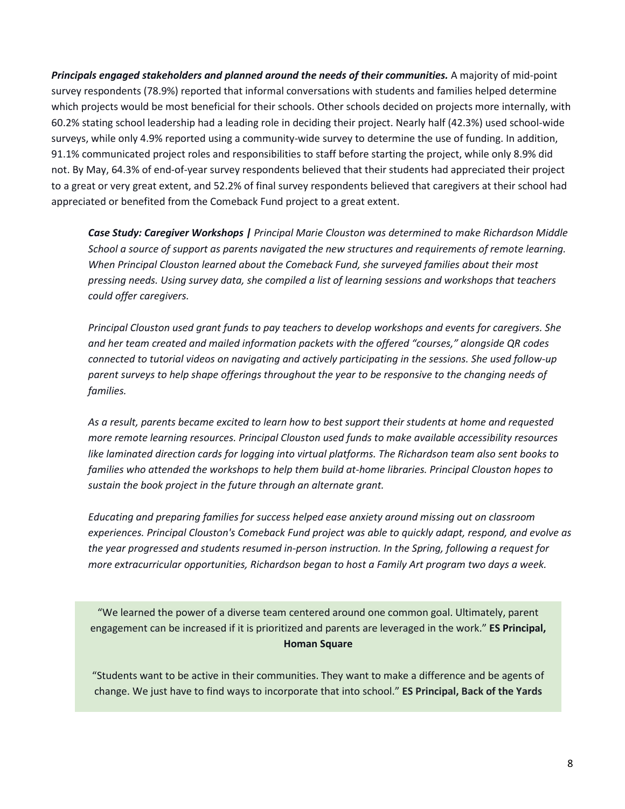*Principals engaged stakeholders and planned around the needs of their communities.* A majority of mid-point survey respondents (78.9%) reported that informal conversations with students and families helped determine which projects would be most beneficial for their schools. Other schools decided on projects more internally, with 60.2% stating school leadership had a leading role in deciding their project. Nearly half (42.3%) used school-wide surveys, while only 4.9% reported using a community-wide survey to determine the use of funding. In addition, 91.1% communicated project roles and responsibilities to staff before starting the project, while only 8.9% did not. By May, 64.3% of end-of-year survey respondents believed that their students had appreciated their project to a great or very great extent, and 52.2% of final survey respondents believed that caregivers at their school had appreciated or benefited from the Comeback Fund project to a great extent.

*Case Study: Caregiver Workshops | Principal Marie Clouston was determined to make Richardson Middle School a source of support as parents navigated the new structures and requirements of remote learning. When Principal Clouston learned about the Comeback Fund, she surveyed families about their most pressing needs. Using survey data, she compiled a list of learning sessions and workshops that teachers could offer caregivers.* 

*Principal Clouston used grant funds to pay teachers to develop workshops and events for caregivers. She and her team created and mailed information packets with the offered "courses," alongside QR codes connected to tutorial videos on navigating and actively participating in the sessions. She used follow-up parent surveys to help shape offerings throughout the year to be responsive to the changing needs of families.* 

*As a result, parents became excited to learn how to best support their students at home and requested more remote learning resources. Principal Clouston used funds to make available accessibility resources like laminated direction cards for logging into virtual platforms. The Richardson team also sent books to families who attended the workshops to help them build at-home libraries. Principal Clouston hopes to sustain the book project in the future through an alternate grant.* 

*Educating and preparing families for success helped ease anxiety around missing out on classroom experiences. Principal Clouston's Comeback Fund project was able to quickly adapt, respond, and evolve as the year progressed and students resumed in-person instruction. In the Spring, following a request for more extracurricular opportunities, Richardson began to host a Family Art program two days a week.*

"We learned the power of a diverse team centered around one common goal. Ultimately, parent engagement can be increased if it is prioritized and parents are leveraged in the work." **ES Principal, Homan Square**

"Students want to be active in their communities. They want to make a difference and be agents of change. We just have to find ways to incorporate that into school." **ES Principal, Back of the Yards**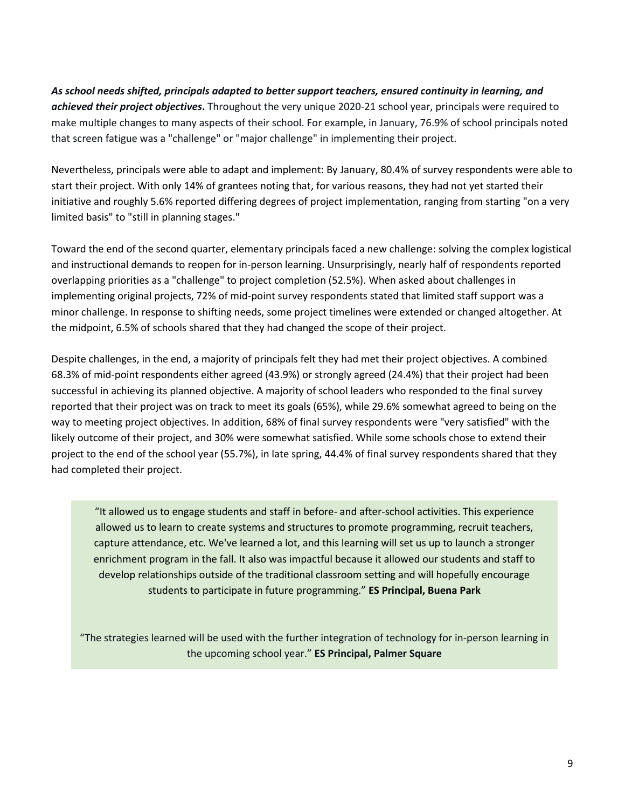*As school needs shifted, principals adapted to better support teachers, ensured continuity in learning, and achieved their project objectives***.** Throughout the very unique 2020-21 school year, principals were required to make multiple changes to many aspects of their school. For example, in January, 76.9% of school principals noted that screen fatigue was a "challenge" or "major challenge" in implementing their project.

Nevertheless, principals were able to adapt and implement: By January, 80.4% of survey respondents were able to start their project. With only 14% of grantees noting that, for various reasons, they had not yet started their initiative and roughly 5.6% reported differing degrees of project implementation, ranging from starting "on a very limited basis" to "still in planning stages."

Toward the end of the second quarter, elementary principals faced a new challenge: solving the complex logistical and instructional demands to reopen for in-person learning. Unsurprisingly, nearly half of respondents reported overlapping priorities as a "challenge" to project completion (52.5%). When asked about challenges in implementing original projects, 72% of mid-point survey respondents stated that limited staff support was a minor challenge. In response to shifting needs, some project timelines were extended or changed altogether. At the midpoint, 6.5% of schools shared that they had changed the scope of their project.

Despite challenges, in the end, a majority of principals felt they had met their project objectives. A combined 68.3% of mid-point respondents either agreed (43.9%) or strongly agreed (24.4%) that their project had been successful in achieving its planned objective. A majority of school leaders who responded to the final survey reported that their project was on track to meet its goals (65%), while 29.6% somewhat agreed to being on the way to meeting project objectives. In addition, 68% of final survey respondents were "very satisfied" with the likely outcome of their project, and 30% were somewhat satisfied. While some schools chose to extend their project to the end of the school year (55.7%), in late spring, 44.4% of final survey respondents shared that they had completed their project.

"It allowed us to engage students and staff in before- and after-school activities. This experience allowed us to learn to create systems and structures to promote programming, recruit teachers, capture attendance, etc. We've learned a lot, and this learning will set us up to launch a stronger enrichment program in the fall. It also was impactful because it allowed our students and staff to develop relationships outside of the traditional classroom setting and will hopefully encourage students to participate in future programming." **ES Principal, Buena Park**

"The strategies learned will be used with the further integration of technology for in-person learning in the upcoming school year." **ES Principal, Palmer Square**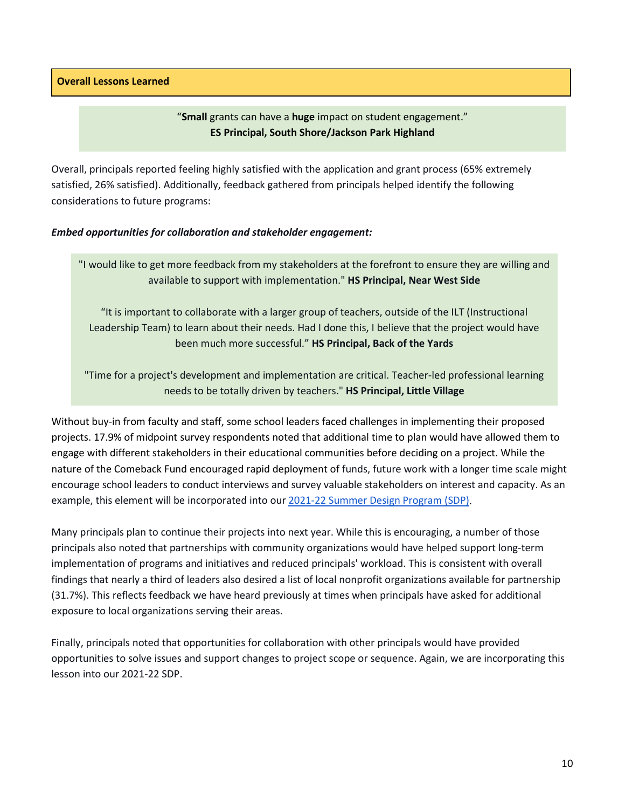<span id="page-9-0"></span>**Overall Lessons Learned**

"**Small** grants can have a **huge** impact on student engagement." **ES Principal, South Shore/Jackson Park Highland**

Overall, principals reported feeling highly satisfied with the application and grant process (65% extremely satisfied, 26% satisfied). Additionally, feedback gathered from principals helped identify the following considerations to future programs:

#### *Embed opportunities for collaboration and stakeholder engagement:*

"I would like to get more feedback from my stakeholders at the forefront to ensure they are willing and available to support with implementation." **HS Principal, Near West Side**

"It is important to collaborate with a larger group of teachers, outside of the ILT (Instructional Leadership Team) to learn about their needs. Had I done this, I believe that the project would have been much more successful." **HS Principal, Back of the Yards**

"Time for a project's development and implementation are critical. Teacher-led professional learning needs to be totally driven by teachers." **HS Principal, Little Village**

Without buy-in from faculty and staff, some school leaders faced challenges in implementing their proposed projects. 17.9% of midpoint survey respondents noted that additional time to plan would have allowed them to engage with different stakeholders in their educational communities before deciding on a project. While the nature of the Comeback Fund encouraged rapid deployment of funds, future work with a longer time scale might encourage school leaders to conduct interviews and survey valuable stakeholders on interest and capacity. As an example, this element will be incorporated into ou[r 2021-22 Summer Design Program](https://sdp2021.weebly.com/) [\(SDP\).](https://sdp2021.weebly.com/)

Many principals plan to continue their projects into next year. While this is encouraging, a number of those principals also noted that partnerships with community organizations would have helped support long-term implementation of programs and initiatives and reduced principals' workload. This is consistent with overall findings that nearly a third of leaders also desired a list of local nonprofit organizations available for partnership (31.7%). This reflects feedback we have heard previously at times when principals have asked for additional exposure to local organizations serving their areas.

Finally, principals noted that opportunities for collaboration with other principals would have provided opportunities to solve issues and support changes to project scope or sequence. Again, we are incorporating this lesson into our 2021-22 SDP.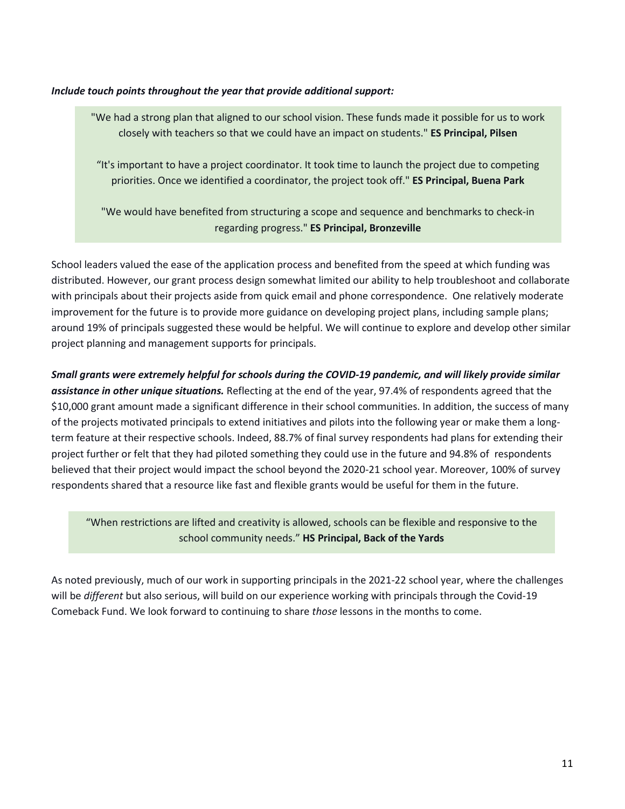#### *Include touch points throughout the year that provide additional support:*

"We had a strong plan that aligned to our school vision. These funds made it possible for us to work closely with teachers so that we could have an impact on students." **ES Principal, Pilsen**

"It's important to have a project coordinator. It took time to launch the project due to competing priorities. Once we identified a coordinator, the project took off." **ES Principal, Buena Park**

"We would have benefited from structuring a scope and sequence and benchmarks to check-in regarding progress." **ES Principal, Bronzeville**

School leaders valued the ease of the application process and benefited from the speed at which funding was distributed. However, our grant process design somewhat limited our ability to help troubleshoot and collaborate with principals about their projects aside from quick email and phone correspondence. One relatively moderate improvement for the future is to provide more guidance on developing project plans, including sample plans; around 19% of principals suggested these would be helpful. We will continue to explore and develop other similar project planning and management supports for principals.

*Small grants were extremely helpful for schools during the COVID-19 pandemic, and will likely provide similar assistance in other unique situations.* Reflecting at the end of the year, 97.4% of respondents agreed that the \$10,000 grant amount made a significant difference in their school communities. In addition, the success of many of the projects motivated principals to extend initiatives and pilots into the following year or make them a longterm feature at their respective schools. Indeed, 88.7% of final survey respondents had plans for extending their project further or felt that they had piloted something they could use in the future and 94.8% of respondents believed that their project would impact the school beyond the 2020-21 school year. Moreover, 100% of survey respondents shared that a resource like fast and flexible grants would be useful for them in the future.

"When restrictions are lifted and creativity is allowed, schools can be flexible and responsive to the school community needs." **HS Principal, Back of the Yards**

As noted previously, much of our work in supporting principals in the 2021-22 school year, where the challenges will be *different* but also serious, will build on our experience working with principals through the Covid-19 Comeback Fund. We look forward to continuing to share *those* lessons in the months to come.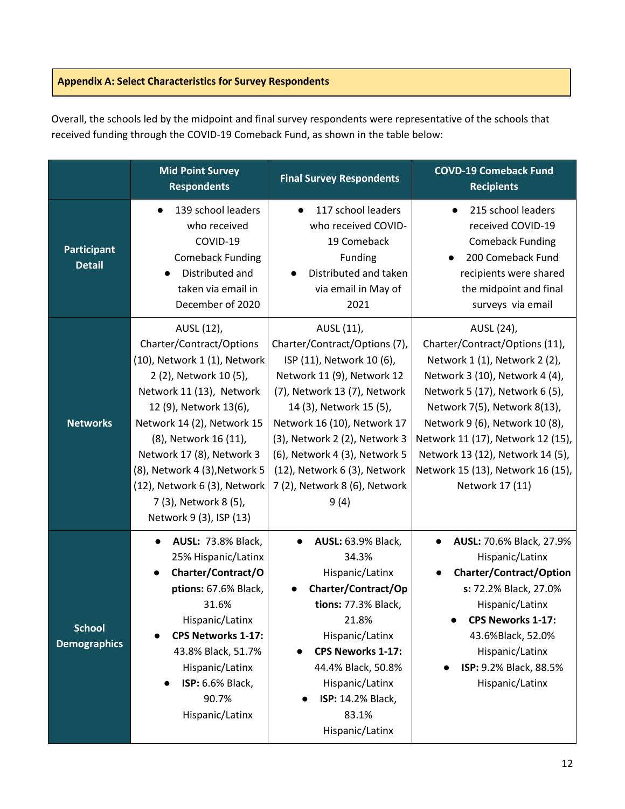## <span id="page-11-0"></span>**Appendix A: Select Characteristics for Survey Respondents**

Overall, the schools led by the midpoint and final survey respondents were representative of the schools that received funding through the COVID-19 Comeback Fund, as shown in the table below:

|                                      | <b>Mid Point Survey</b><br><b>Respondents</b>                                                                                                                                                                                                                                                                                                                   | <b>Final Survey Respondents</b>                                                                                                                                                                                                                                                                                                             | <b>COVD-19 Comeback Fund</b><br><b>Recipients</b>                                                                                                                                                                                                                                                                                                    |
|--------------------------------------|-----------------------------------------------------------------------------------------------------------------------------------------------------------------------------------------------------------------------------------------------------------------------------------------------------------------------------------------------------------------|---------------------------------------------------------------------------------------------------------------------------------------------------------------------------------------------------------------------------------------------------------------------------------------------------------------------------------------------|------------------------------------------------------------------------------------------------------------------------------------------------------------------------------------------------------------------------------------------------------------------------------------------------------------------------------------------------------|
| Participant<br><b>Detail</b>         | 139 school leaders<br>$\bullet$<br>who received<br>COVID-19<br><b>Comeback Funding</b><br>Distributed and<br>taken via email in<br>December of 2020                                                                                                                                                                                                             | 117 school leaders<br>$\bullet$<br>who received COVID-<br>19 Comeback<br>Funding<br>Distributed and taken<br>via email in May of<br>2021                                                                                                                                                                                                    | 215 school leaders<br>$\bullet$<br>received COVID-19<br><b>Comeback Funding</b><br>200 Comeback Fund<br>recipients were shared<br>the midpoint and final<br>surveys via email                                                                                                                                                                        |
| <b>Networks</b>                      | AUSL (12),<br>Charter/Contract/Options<br>(10), Network 1 (1), Network<br>2 (2), Network 10 (5),<br>Network 11 (13), Network<br>12 (9), Network 13(6),<br>Network 14 (2), Network 15<br>(8), Network 16 (11),<br>Network 17 (8), Network 3<br>(8), Network 4 (3), Network 5<br>(12), Network 6 (3), Network<br>7 (3), Network 8 (5),<br>Network 9 (3), ISP (13) | AUSL (11),<br>Charter/Contract/Options (7),<br>ISP (11), Network 10 (6),<br>Network 11 (9), Network 12<br>(7), Network 13 (7), Network<br>14 (3), Network 15 (5),<br>Network 16 (10), Network 17<br>(3), Network 2 (2), Network 3<br>(6), Network 4 (3), Network 5<br>(12), Network 6 (3), Network<br>7 (2), Network 8 (6), Network<br>9(4) | AUSL (24),<br>Charter/Contract/Options (11),<br>Network 1 (1), Network 2 (2),<br>Network 3 (10), Network 4 (4),<br>Network 5 (17), Network 6 (5),<br>Network 7(5), Network 8(13),<br>Network 9 (6), Network 10 (8),<br>Network 11 (17), Network 12 (15),<br>Network 13 (12), Network 14 (5),<br>Network 15 (13), Network 16 (15),<br>Network 17 (11) |
| <b>School</b><br><b>Demographics</b> | <b>AUSL: 73.8% Black,</b><br>25% Hispanic/Latinx<br>Charter/Contract/O<br>ptions: 67.6% Black,<br>31.6%<br>Hispanic/Latinx<br><b>CPS Networks 1-17:</b><br>43.8% Black, 51.7%<br>Hispanic/Latinx<br><b>ISP: 6.6% Black,</b><br>90.7%<br>Hispanic/Latinx                                                                                                         | <b>AUSL: 63.9% Black,</b><br>$\bullet$<br>34.3%<br>Hispanic/Latinx<br>Charter/Contract/Op<br>tions: 77.3% Black,<br>21.8%<br>Hispanic/Latinx<br><b>CPS Neworks 1-17:</b><br>44.4% Black, 50.8%<br>Hispanic/Latinx<br>ISP: 14.2% Black,<br>83.1%<br>Hispanic/Latinx                                                                          | <b>AUSL: 70.6% Black, 27.9%</b><br>Hispanic/Latinx<br><b>Charter/Contract/Option</b><br>s: 72.2% Black, 27.0%<br>Hispanic/Latinx<br>CPS Neworks 1-17:<br>$\bullet$<br>43.6%Black, 52.0%<br>Hispanic/Latinx<br>ISP: 9.2% Black, 88.5%<br>Hispanic/Latinx                                                                                              |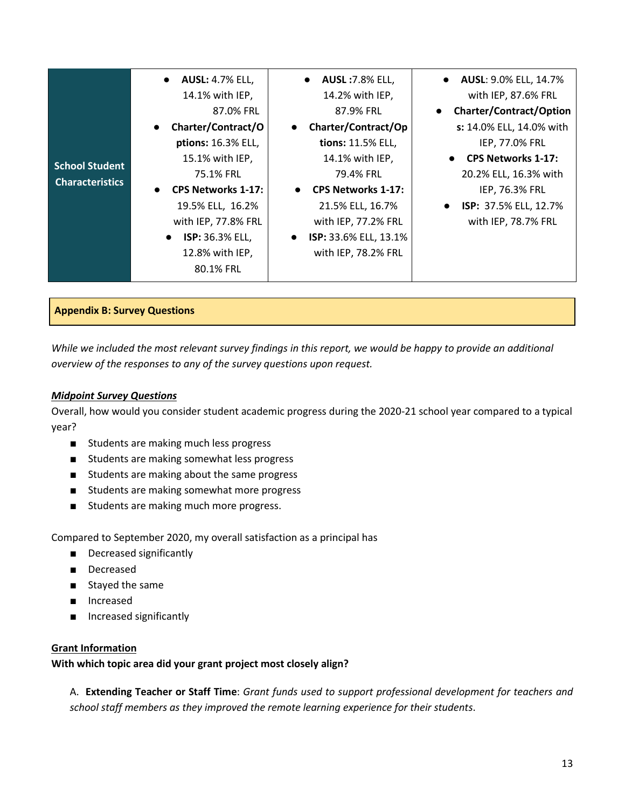|                        | <b>AUSL: 4.7% ELL,</b><br>$\bullet$    | <b>AUSL: 7.8% ELL,</b><br>$\bullet$ | <b>AUSL: 9.0% ELL, 14.7%</b>   |
|------------------------|----------------------------------------|-------------------------------------|--------------------------------|
|                        | 14.1% with IEP,                        | 14.2% with IEP,                     | with IEP, 87.6% FRL            |
|                        | 87.0% FRL                              | 87.9% FRL                           | <b>Charter/Contract/Option</b> |
|                        | Charter/Contract/O<br>$\bullet$        | Charter/Contract/Op<br>$\bullet$    | s: 14.0% ELL, 14.0% with       |
|                        | ptions: 16.3% ELL,                     | tions: 11.5% ELL,                   | IEP, 77.0% FRL                 |
| <b>School Student</b>  | 15.1% with IEP,                        | 14.1% with IEP,                     | <b>CPS Networks 1-17:</b>      |
| <b>Characteristics</b> | 75.1% FRL                              | 79.4% FRL                           | 20.2% ELL, 16.3% with          |
|                        | <b>CPS Networks 1-17:</b><br>$\bullet$ | • CPS Networks 1-17:                | IEP, 76.3% FRL                 |
|                        | 19.5% ELL, 16.2%                       | 21.5% ELL, 16.7%                    | ISP: 37.5% ELL, 12.7%          |
|                        | with IEP, 77.8% FRL                    | with IEP, 77.2% FRL                 | with IEP, 78.7% FRL            |
|                        | ISP: 36.3% ELL,<br>$\bullet$           | ISP: 33.6% ELL, 13.1%<br>$\bullet$  |                                |
|                        | 12.8% with IEP,                        | with IEP, 78.2% FRL                 |                                |
|                        | 80.1% FRL                              |                                     |                                |

#### <span id="page-12-0"></span>**Appendix B: Survey Questions**

*While we included the most relevant survey findings in this report, we would be happy to provide an additional overview of the responses to any of the survey questions upon request.*

#### *Midpoint Survey Questions*

Overall, how would you consider student academic progress during the 2020-21 school year compared to a typical year?

- Students are making much less progress
- Students are making somewhat less progress
- Students are making about the same progress
- Students are making somewhat more progress
- Students are making much more progress.

Compared to September 2020, my overall satisfaction as a principal has

- Decreased significantly
- Decreased
- Stayed the same
- Increased
- Increased significantly

#### **Grant Information**

**With which topic area did your grant project most closely align?**

A. **Extending Teacher or Staff Time**: *Grant funds used to support professional development for teachers and school staff members as they improved the remote learning experience for their students*.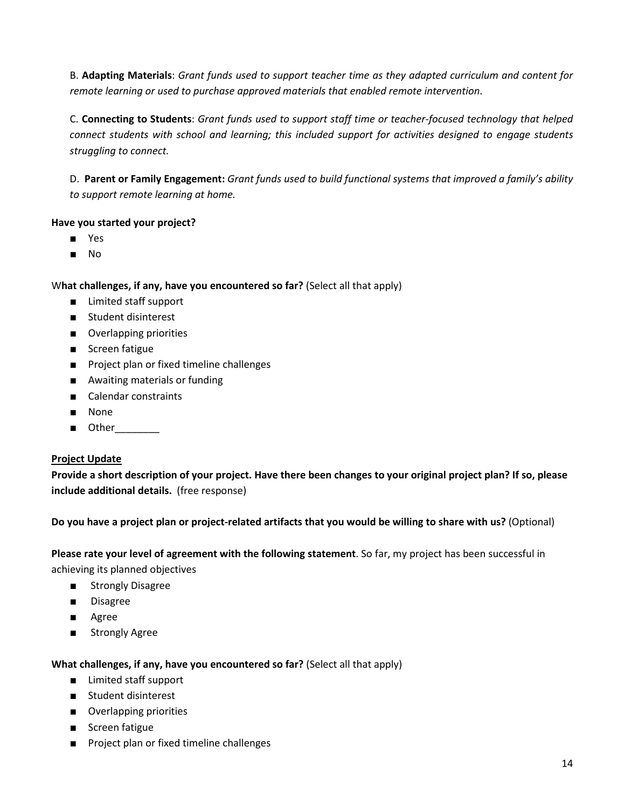B. **Adapting Materials**: *Grant funds used to support teacher time as they adapted curriculum and content for remote learning or used to purchase approved materials that enabled remote intervention*.

C. **Connecting to Students**: *Grant funds used to support staff time or teacher-focused technology that helped connect students with school and learning; this included support for activities designed to engage students struggling to connect.*

D. **Parent or Family Engagement:** *Grant funds used to build functional systems that improved a family's ability to support remote learning at home.*

## **Have you started your project?**

- Yes
- No

## W**hat challenges, if any, have you encountered so far?** (Select all that apply)

- Limited staff support
- Student disinterest
- Overlapping priorities
- Screen fatigue
- Project plan or fixed timeline challenges
- Awaiting materials or funding
- Calendar constraints
- None
- Other

## **Project Update**

**Provide a short description of your project. Have there been changes to your original project plan? If so, please include additional details.** (free response)

**Do you have a project plan or project-related artifacts that you would be willing to share with us?** (Optional)

**Please rate your level of agreement with the following statement**. So far, my project has been successful in achieving its planned objectives

- Strongly Disagree
- Disagree
- Agree
- Strongly Agree

**What challenges, if any, have you encountered so far?** (Select all that apply)

- Limited staff support
- Student disinterest
- Overlapping priorities
- Screen fatigue
- Project plan or fixed timeline challenges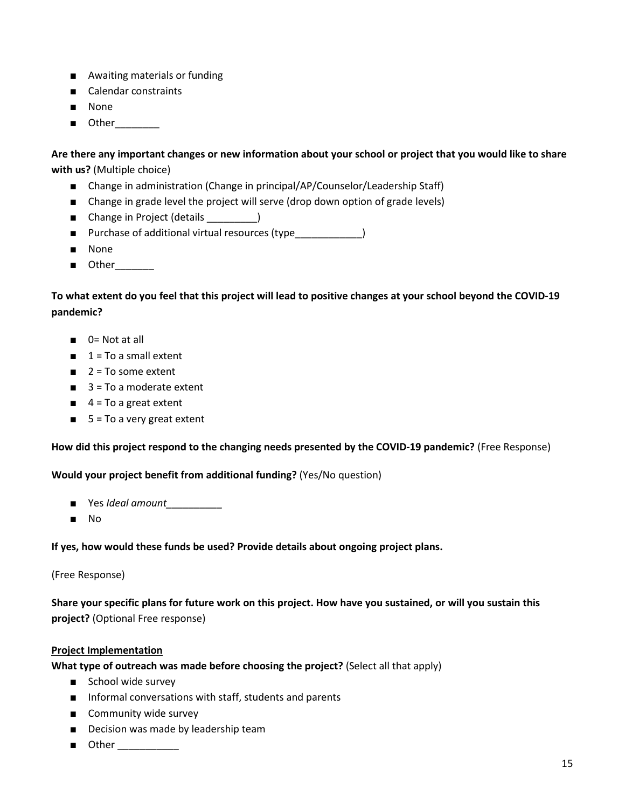- Awaiting materials or funding
- Calendar constraints
- None
- Other

**Are there any important changes or new information about your school or project that you would like to share with us?** (Multiple choice)

- Change in administration (Change in principal/AP/Counselor/Leadership Staff)
- Change in grade level the project will serve (drop down option of grade levels)
- Change in Project (details )
- Purchase of additional virtual resources (type\_\_\_\_\_\_\_\_\_\_\_\_\_\_\_\_\_\_\_\_\_\_\_\_\_\_\_\_\_\_\_\_
- None
- Other

**To what extent do you feel that this project will lead to positive changes at your school beyond the COVID-19 pandemic?** 

- 0= Not at all
- $1 = To a small extent$
- $\blacksquare$  2 = To some extent
- $\blacksquare$  3 = To a moderate extent
- $\blacksquare$  4 = To a great extent
- $\blacksquare$  5 = To a very great extent

**How did this project respond to the changing needs presented by the COVID-19 pandemic?** (Free Response)

**Would your project benefit from additional funding?** (Yes/No question)

- Yes *Ideal amount\_\_\_\_\_\_\_\_\_\_*
- No

**If yes, how would these funds be used? Provide details about ongoing project plans.**

(Free Response)

**Share your specific plans for future work on this project. How have you sustained, or will you sustain this project?** (Optional Free response)

## **Project Implementation**

**What type of outreach was made before choosing the project?** (Select all that apply)

- School wide survey
- Informal conversations with staff, students and parents
- Community wide survey
- Decision was made by leadership team
- $\blacksquare$  Other  $\blacksquare$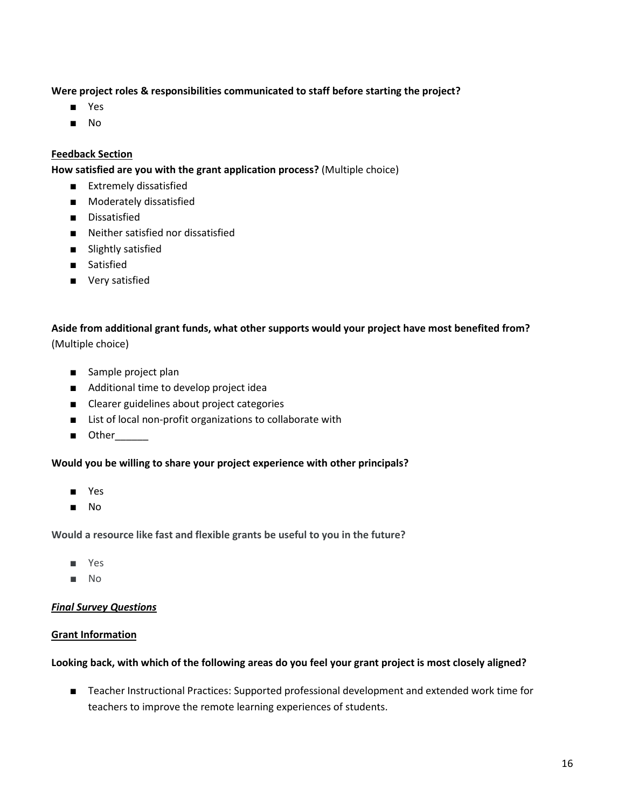## **Were project roles & responsibilities communicated to staff before starting the project?**

- Yes
- No

#### **Feedback Section**

**How satisfied are you with the grant application process?** (Multiple choice)

- Extremely dissatisfied
- Moderately dissatisfied
- Dissatisfied
- Neither satisfied nor dissatisfied
- Slightly satisfied
- Satisfied
- Very satisfied

**Aside from additional grant funds, what other supports would your project have most benefited from?** (Multiple choice)

- Sample project plan
- Additional time to develop project idea
- Clearer guidelines about project categories
- List of local non-profit organizations to collaborate with
- Other

#### **Would you be willing to share your project experience with other principals?**

- Yes
- No

**Would a resource like fast and flexible grants be useful to you in the future?**

- Yes
- No

#### *Final Survey Questions*

#### **Grant Information**

#### **Looking back, with which of the following areas do you feel your grant project is most closely aligned?**

■ Teacher Instructional Practices: Supported professional development and extended work time for teachers to improve the remote learning experiences of students.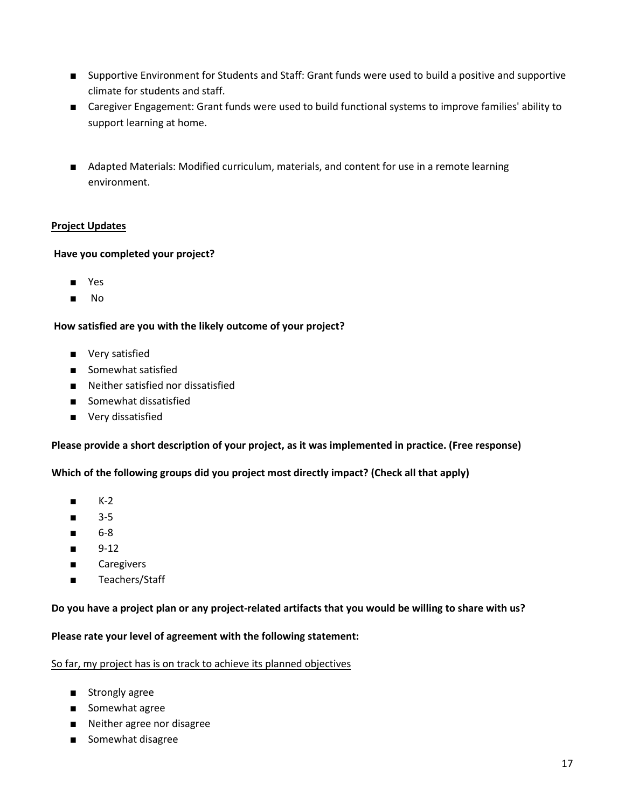- Supportive Environment for Students and Staff: Grant funds were used to build a positive and supportive climate for students and staff.
- Caregiver Engagement: Grant funds were used to build functional systems to improve families' ability to support learning at home.
- Adapted Materials: Modified curriculum, materials, and content for use in a remote learning environment.

## **Project Updates**

## **Have you completed your project?**

- Yes
- No

## **How satisfied are you with the likely outcome of your project?**

- Very satisfied
- Somewhat satisfied
- Neither satisfied nor dissatisfied
- Somewhat dissatisfied
- Very dissatisfied

## **Please provide a short description of your project, as it was implemented in practice. (Free response)**

**Which of the following groups did you project most directly impact? (Check all that apply)**

- K-2
- 3-5
- 6-8
- 9-12
- Caregivers
- Teachers/Staff

## **Do you have a project plan or any project-related artifacts that you would be willing to share with us?**

## **Please rate your level of agreement with the following statement:**

#### So far, my project has is on track to achieve its planned objectives

- Strongly agree
- Somewhat agree
- Neither agree nor disagree
- Somewhat disagree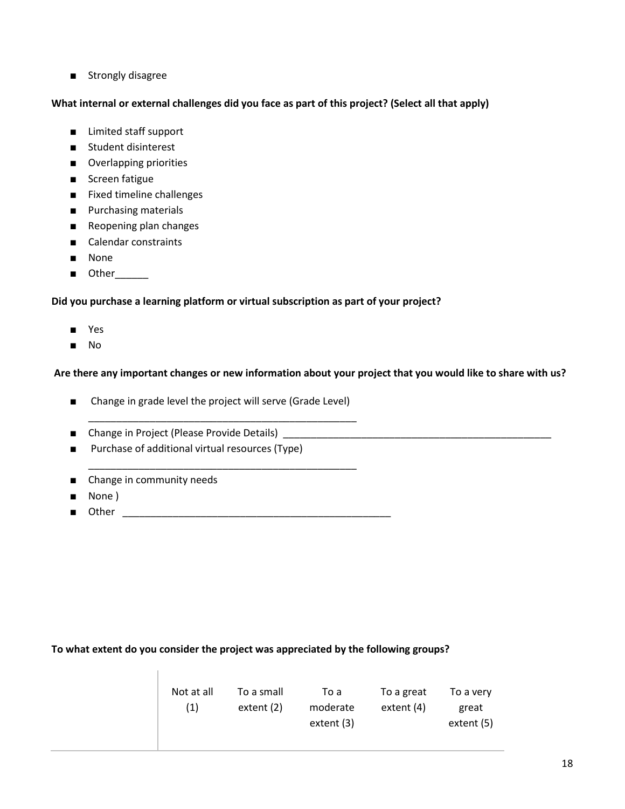■ Strongly disagree

## **What internal or external challenges did you face as part of this project? (Select all that apply)**

- Limited staff support
- Student disinterest
- Overlapping priorities
- Screen fatigue
- Fixed timeline challenges
- Purchasing materials
- Reopening plan changes
- Calendar constraints
- None
- Other\_\_\_\_\_\_

## **Did you purchase a learning platform or virtual subscription as part of your project?**

- Yes
- No

## **Are there any important changes or new information about your project that you would like to share with us?**

■ Change in grade level the project will serve (Grade Level)

\_\_\_\_\_\_\_\_\_\_\_\_\_\_\_\_\_\_\_\_\_\_\_\_\_\_\_\_\_\_\_\_\_\_\_\_\_\_\_\_\_\_\_\_\_\_\_\_

\_\_\_\_\_\_\_\_\_\_\_\_\_\_\_\_\_\_\_\_\_\_\_\_\_\_\_\_\_\_\_\_\_\_\_\_\_\_\_\_\_\_\_\_\_\_\_\_

- Change in Project (Please Provide Details) \_\_\_\_\_\_\_\_\_\_\_\_\_\_\_\_\_\_\_\_\_\_\_\_\_\_\_\_\_\_\_\_\_\_\_
- Purchase of additional virtual resources (Type)
- Change in community needs
- None )
- Other \_\_\_\_\_\_\_\_\_\_\_\_\_\_\_\_\_\_\_\_\_\_\_\_\_\_\_\_\_\_\_\_\_\_\_\_\_\_\_\_\_\_\_\_\_\_\_\_

## **To what extent do you consider the project was appreciated by the following groups?**

| Not at all<br>(1) | To a small<br>extent (2) | To a<br>moderate<br>extent (3) | To a great<br>extent (4) | To a very<br>great<br>extent (5) |
|-------------------|--------------------------|--------------------------------|--------------------------|----------------------------------|
|-------------------|--------------------------|--------------------------------|--------------------------|----------------------------------|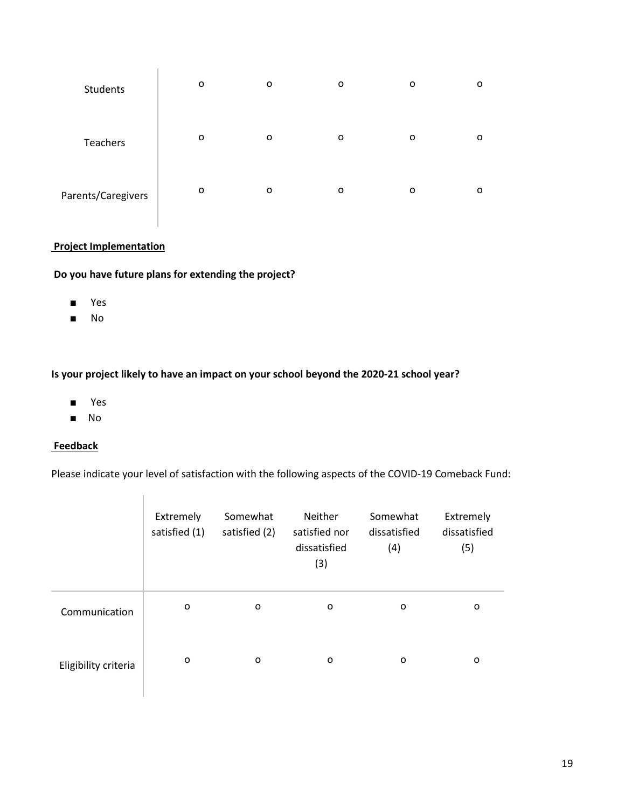| Students           | о | o | O       | o | 0 |
|--------------------|---|---|---------|---|---|
| Teachers           | o | o | $\circ$ | O | o |
| Parents/Caregivers | o | o | O       | o | o |

## **Project Implementation**

**Do you have future plans for extending the project?**

T.

- Yes
- No

## **Is your project likely to have an impact on your school beyond the 2020-21 school year?**

- Yes
- No

#### **Feedback**

Please indicate your level of satisfaction with the following aspects of the COVID-19 Comeback Fund:

|                      | Extremely<br>satisfied (1) | Somewhat<br>satisfied (2) | Neither<br>satisfied nor<br>dissatisfied<br>(3) | Somewhat<br>dissatisfied<br>(4) | Extremely<br>dissatisfied<br>(5) |
|----------------------|----------------------------|---------------------------|-------------------------------------------------|---------------------------------|----------------------------------|
| Communication        | o                          | o                         | o                                               | o                               | o                                |
| Eligibility criteria | o                          | 0                         | o                                               | o                               | O                                |